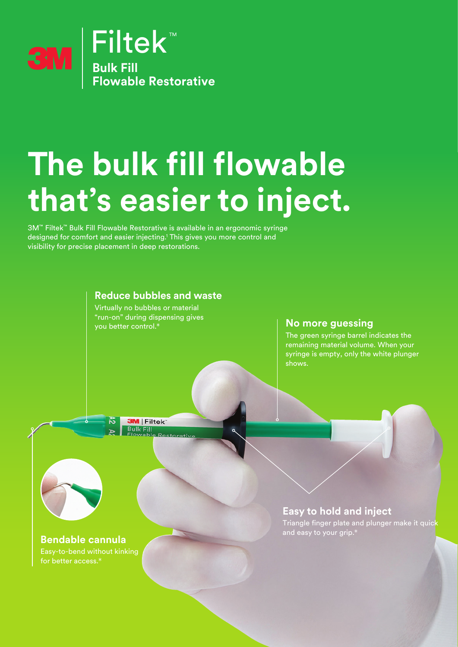

# **The bulk fill flowable that's easier to inject.**

3M™ Filtek™ Bulk Fill Flowable Restorative is available in an ergonomic syringe designed for comfort and easier injecting.<sup>1</sup> This gives you more control and visibility for precise placement in deep restorations.